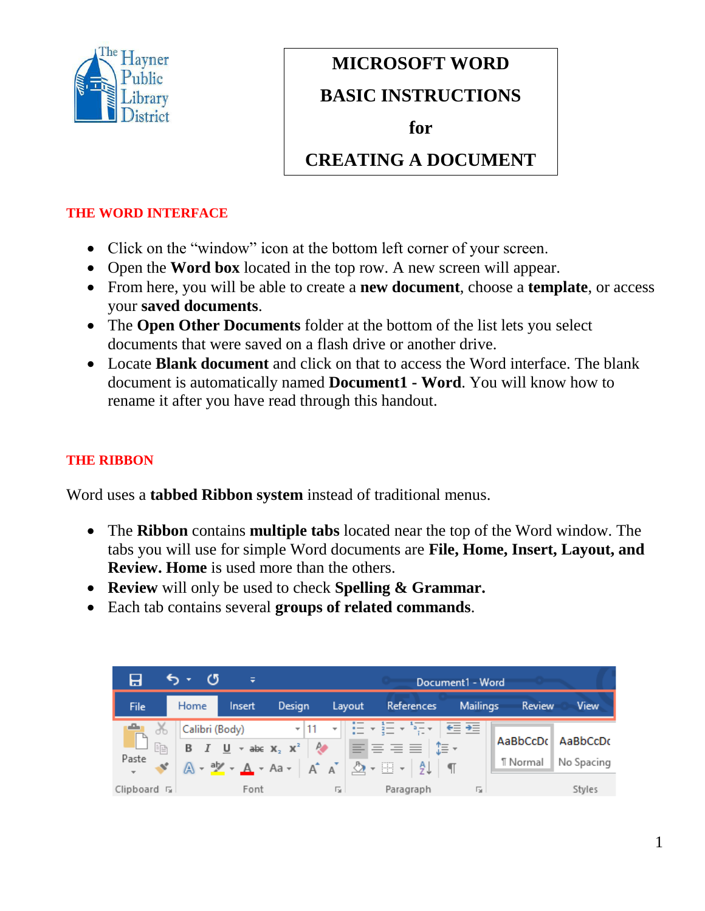

# **MICROSOFT WORD**

## **BASIC INSTRUCTIONS**

**Microsoft Word for**

**Basic Instructions CREATING A DOCUMENT**

#### **THE WORD INTERFACE**

- Click on the "window" icon at the bottom left corner of your screen.
- Open the **Word box** located in the top row. A new screen will appear.
- From here, you will be able to create a **new document**, choose a **template**, or access your **saved documents**.
- The **Open Other Documents** folder at the bottom of the list lets you select documents that were saved on a flash drive or another drive.
- Locate **Blank document** and click on that to access the Word interface. The blank document is automatically named **Document1 - Word**. You will know how to rename it after you have read through this handout.

## **THE RIBBON**

Word uses a **tabbed Ribbon system** instead of traditional menus.

- The **Ribbon** contains **multiple tabs** located near the top of the Word window. The tabs you will use for simple Word documents are **File, Home, Insert, Layout, and Review. Home** is used more than the others.
- **Review** will only be used to check **Spelling & Grammar.**
- Each tab contains several **groups of related commands**.

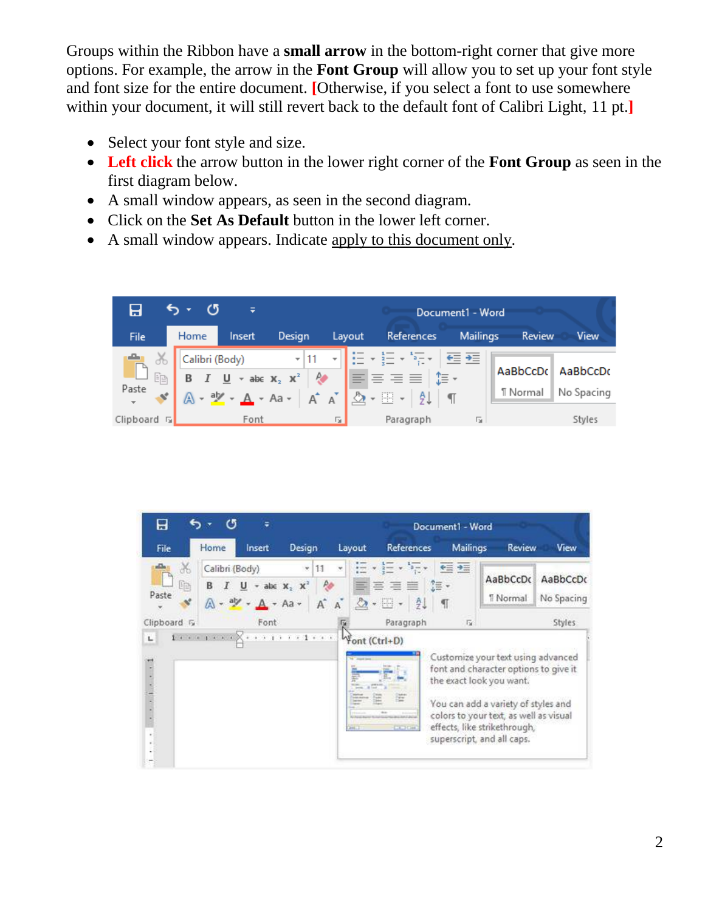Groups within the Ribbon have a **small arrow** in the bottom-right corner that give more options. For example, the arrow in the **Font Group** will allow you to set up your font style and font size for the entire document. **[**Otherwise, if you select a font to use somewhere within your document, it will still revert back to the default font of Calibri Light, 11 pt.**]**

- Select your font style and size.
- **Left click** the arrow button in the lower right corner of the **Font Group** as seen in the first diagram below.
- A small window appears, as seen in the second diagram.
- Click on the **Set As Default** button in the lower left corner.
- A small window appears. Indicate apply to this document only.



| Ы                             |                                              |                     |          |                                                  |                                                  | Document1 - Word                                                                                                                                                                                                                                       |                       |                        |
|-------------------------------|----------------------------------------------|---------------------|----------|--------------------------------------------------|--------------------------------------------------|--------------------------------------------------------------------------------------------------------------------------------------------------------------------------------------------------------------------------------------------------------|-----------------------|------------------------|
| File                          | Home                                         | Insert              | Design   | Layout                                           | References                                       | <b>Mailings</b>                                                                                                                                                                                                                                        | Review                | View                   |
| 36<br>咱<br>Paste<br>×.        | Calibri (Body)<br>U<br>в<br>A · ツ · A · Aa · | $-$ abe $X_2$ $X^2$ | 11<br>AÎ | ≡                                                | 喜喜喜<br>到<br>$\mathbb{H}$ .                       | モニ ラニ<br>(三·<br>¶                                                                                                                                                                                                                                      | AaBbCcDc<br>"  Normal | AaBbCcDc<br>No Spacing |
| Clipboard <sub>IS</sub><br>L. |                                              | Font                |          |                                                  | Paragraph                                        | 反                                                                                                                                                                                                                                                      |                       | Styles                 |
| $\frac{1}{2}$                 |                                              |                     |          | Vont (Ctrl+D)<br>the Committee<br><b>Card of</b> | this.<br><b>BACKWATAIN</b><br>$-100 - 200 + 100$ | Customize your text using advanced<br>font and character options to give it<br>the exact look you want.<br>You can add a variety of styles and<br>colors to your text, as well as visual<br>effects, like strikethrough,<br>superscript, and all caps. |                       |                        |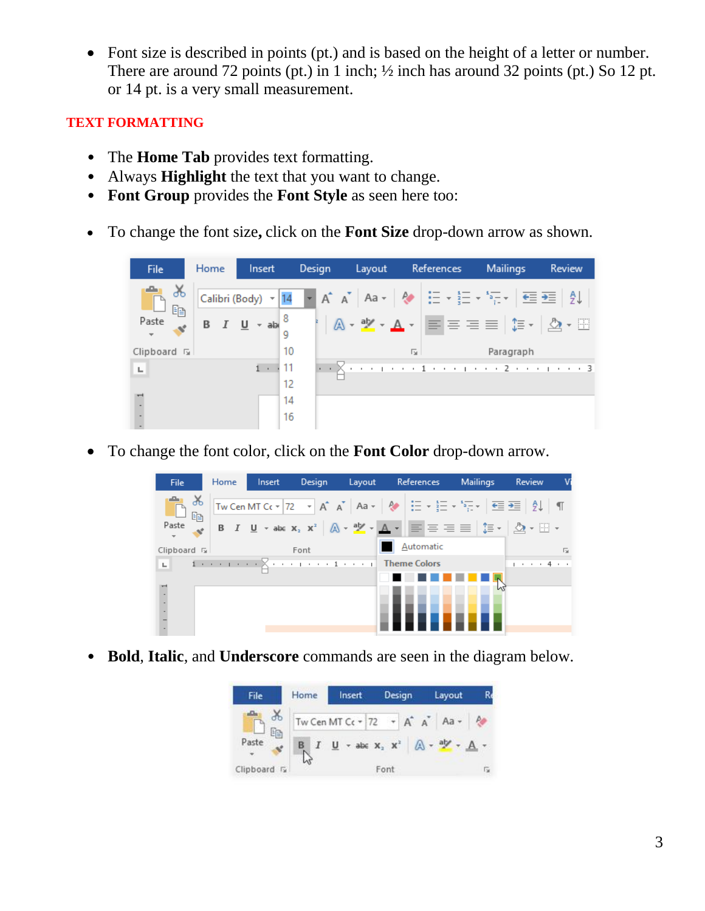• Font size is described in points (pt.) and is based on the height of a letter or number. There are around 72 points (pt.) in 1 inch;  $\frac{1}{2}$  inch has around 32 points (pt.) So 12 pt. or 14 pt. is a very small measurement.

#### **TEXT FORMATTING**

- The **Home Tab** provides text formatting.
- Always **Highlight** the text that you want to change.
- **Font Group** provides the **Font Style** as seen here too:
- To change the font size**,** click on the **Font Size** drop-down arrow as shown.



• To change the font color, click on the **Font Color** drop-down arrow.



• **Bold**, **Italic**, and **Underscore** commands are seen in the diagram below.

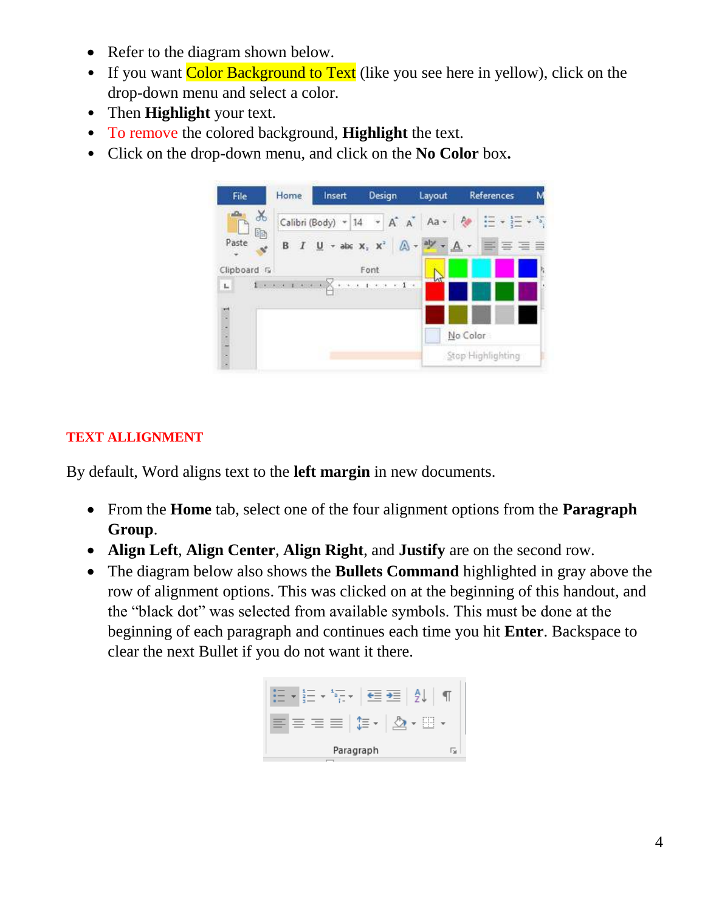- Refer to the diagram shown below.
- If you want Color Background to Text (like you see here in yellow), click on the drop-down menu and select a color.
- Then **Highlight** your text.
- To remove the colored background, **Highlight** the text.
- Click on the drop-down menu, and click on the **No Color** box**.**



## **TEXT ALLIGNMENT**

By default, Word aligns text to the **left margin** in new documents.

- From the **Home** tab, select one of the four alignment options from the **Paragraph Group**.
- **Align Left**, **Align Center**, **Align Right**, and **Justify** are on the second row.
- The diagram below also shows the **Bullets Command** highlighted in gray above the row of alignment options. This was clicked on at the beginning of this handout, and the "black dot" was selected from available symbols. This must be done at the beginning of each paragraph and continues each time you hit **Enter**. Backspace to clear the next Bullet if you do not want it there.

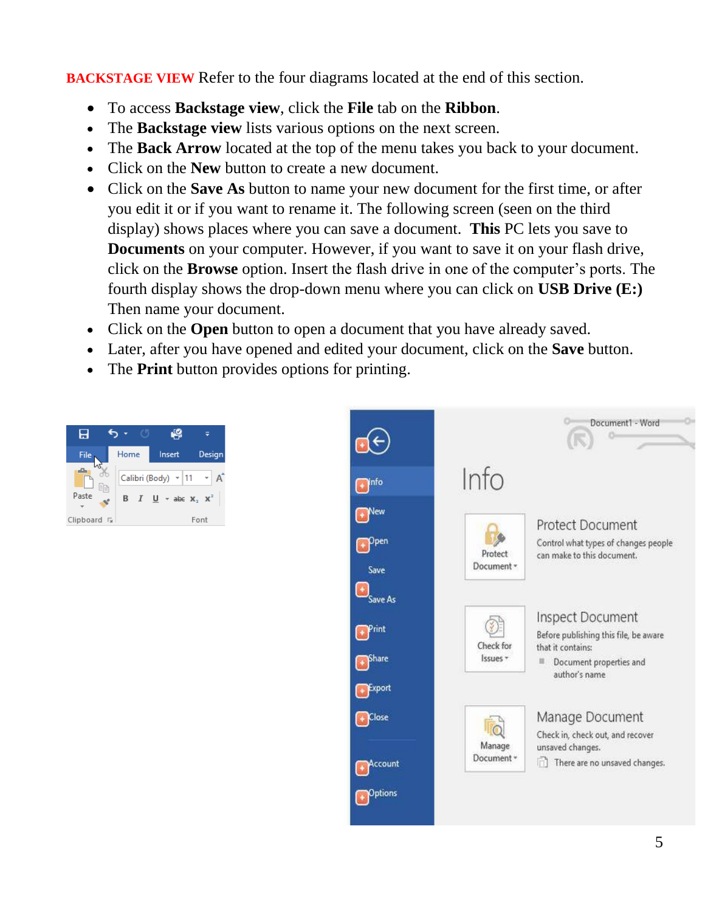**BACKSTAGE VIEW** Refer to the four diagrams located at the end of this section.

- To access **Backstage view**, click the **File** tab on the **Ribbon**.
- The **Backstage view** lists various options on the next screen.
- The **Back Arrow** located at the top of the menu takes you back to your document.
- Click on the **New** button to create a new document.
- Click on the **Save As** button to name your new document for the first time, or after you edit it or if you want to rename it. The following screen (seen on the third display) shows places where you can save a document. **This** PC lets you save to **Documents** on your computer. However, if you want to save it on your flash drive, click on the **Browse** option. Insert the flash drive in one of the computer's ports. The fourth display shows the drop-down menu where you can click on **USB Drive (E:)** Then name your document.
- Click on the **Open** button to open a document that you have already saved.
- Later, after you have opened and edited your document, click on the **Save** button.
- The **Print** button provides options for printing.



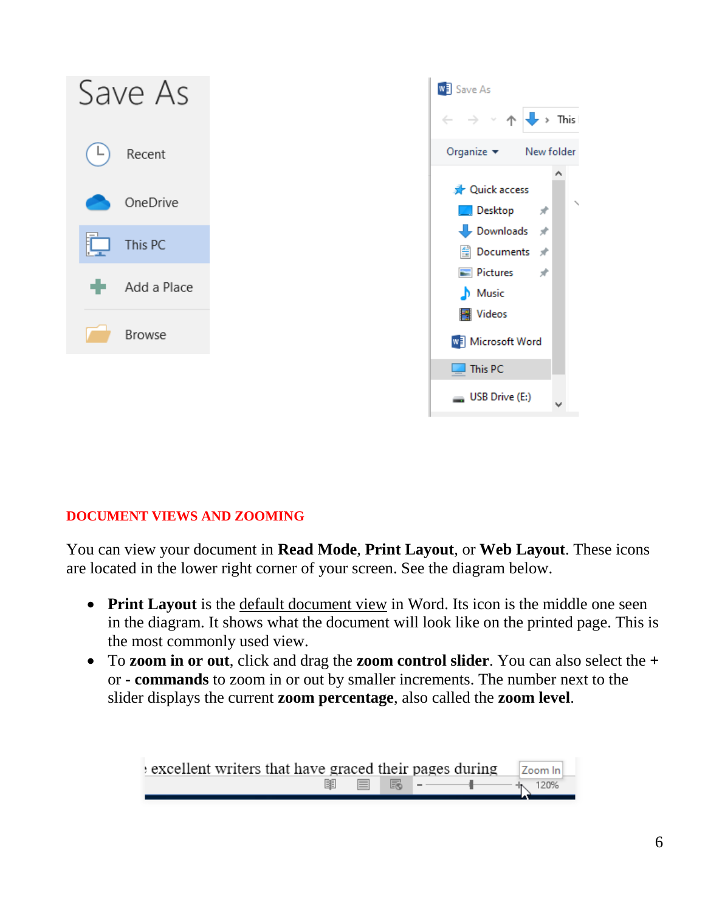

#### **DOCUMENT VIEWS AND ZOOMING**

You can view your document in **Read Mode**, **Print Layout**, or **Web Layout**. These icons are located in the lower right corner of your screen. See the diagram below.

- **Print Layout** is the default document view in Word. Its icon is the middle one seen in the diagram. It shows what the document will look like on the printed page. This is the most commonly used view.
- To **zoom in or out**, click and drag the **zoom control slider**. You can also select the **+** or **- commands** to zoom in or out by smaller increments. The number next to the slider displays the current **zoom percentage**, also called the **zoom level**.

| excellent writers that have graced their pages during |  |                             | Zoom In |
|-------------------------------------------------------|--|-----------------------------|---------|
| 圍                                                     |  | ■ 勗 -─────────────── ★ 120% |         |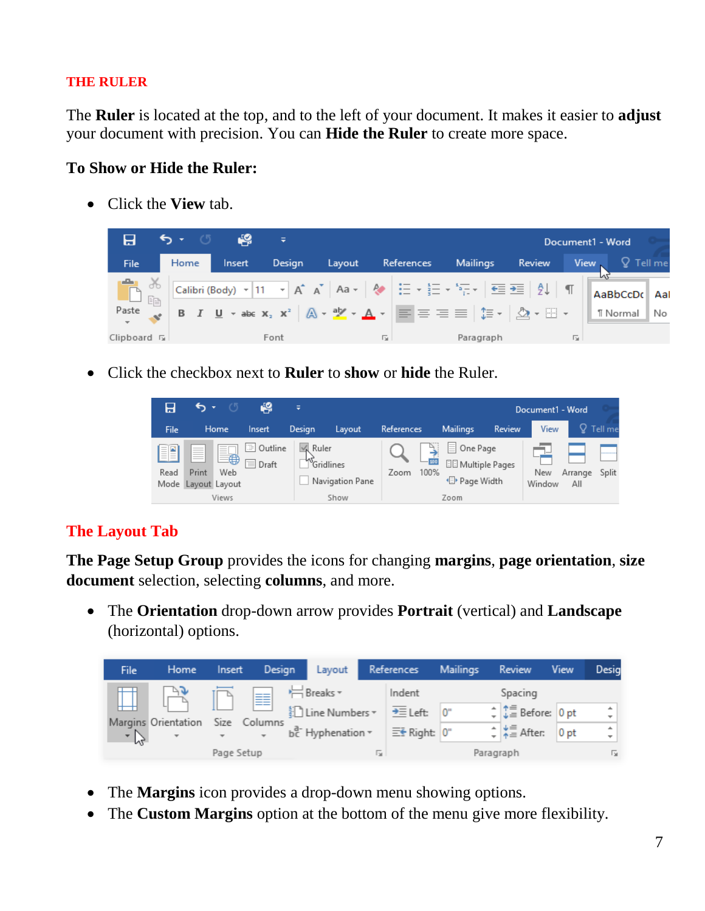#### **THE RULER**

The **Ruler** is located at the top, and to the left of your document. It makes it easier to **adjust** your document with precision. You can **Hide the Ruler** to create more space.

### **To Show or Hide the Ruler:**

• Click the **View** tab.



• Click the checkbox next to **Ruler** to **show** or **hide** the Ruler.

|                      |                                                                                                                                                                                                                                                                                                                                                                                                                                                                                                                                                                                                                                                                                                                                                                                                                                                                                                                                                                                                                                                                                                                                                                                                                                                                                                                                                                                                                                                                                                                                                                               | 49                         | ≑      |                                               |                   |                |                                                     |                          | Document1 - Word |                |           |
|----------------------|-------------------------------------------------------------------------------------------------------------------------------------------------------------------------------------------------------------------------------------------------------------------------------------------------------------------------------------------------------------------------------------------------------------------------------------------------------------------------------------------------------------------------------------------------------------------------------------------------------------------------------------------------------------------------------------------------------------------------------------------------------------------------------------------------------------------------------------------------------------------------------------------------------------------------------------------------------------------------------------------------------------------------------------------------------------------------------------------------------------------------------------------------------------------------------------------------------------------------------------------------------------------------------------------------------------------------------------------------------------------------------------------------------------------------------------------------------------------------------------------------------------------------------------------------------------------------------|----------------------------|--------|-----------------------------------------------|-------------------|----------------|-----------------------------------------------------|--------------------------|------------------|----------------|-----------|
| File                 | Home                                                                                                                                                                                                                                                                                                                                                                                                                                                                                                                                                                                                                                                                                                                                                                                                                                                                                                                                                                                                                                                                                                                                                                                                                                                                                                                                                                                                                                                                                                                                                                          | Insert                     | Design | Layout                                        | <b>References</b> |                | <b>Mailings</b>                                     | Review                   | View             |                | Tell me   |
| ≣[⊇<br>$= -$<br>Read | $-$<br>$\frac{1}{2} \left( \frac{1}{2} \right) \left( \frac{1}{2} \right) \left( \frac{1}{2} \right) \left( \frac{1}{2} \right) \left( \frac{1}{2} \right) \left( \frac{1}{2} \right) \left( \frac{1}{2} \right) \left( \frac{1}{2} \right) \left( \frac{1}{2} \right) \left( \frac{1}{2} \right) \left( \frac{1}{2} \right) \left( \frac{1}{2} \right) \left( \frac{1}{2} \right) \left( \frac{1}{2} \right) \left( \frac{1}{2} \right) \left( \frac{1}{2} \right) \left( \frac$<br>$=$<br>$\sim$<br>$\sim$<br>$\overline{\phantom{a}}$<br>$\frac{1}{2} \left( \frac{1}{2} \right) \left( \frac{1}{2} \right) \left( \frac{1}{2} \right) \left( \frac{1}{2} \right) \left( \frac{1}{2} \right) \left( \frac{1}{2} \right) \left( \frac{1}{2} \right) \left( \frac{1}{2} \right) \left( \frac{1}{2} \right) \left( \frac{1}{2} \right) \left( \frac{1}{2} \right) \left( \frac{1}{2} \right) \left( \frac{1}{2} \right) \left( \frac{1}{2} \right) \left( \frac{1}{2} \right) \left( \frac{1}{2} \right) \left( \frac$<br>€<br>$\frac{1}{2} \left( \frac{1}{2} \right) \left( \frac{1}{2} \right) \left( \frac{1}{2} \right) \left( \frac{1}{2} \right) \left( \frac{1}{2} \right) \left( \frac{1}{2} \right) \left( \frac{1}{2} \right) \left( \frac{1}{2} \right) \left( \frac{1}{2} \right) \left( \frac{1}{2} \right) \left( \frac{1}{2} \right) \left( \frac{1}{2} \right) \left( \frac{1}{2} \right) \left( \frac{1}{2} \right) \left( \frac{1}{2} \right) \left( \frac{1}{2} \right) \left( \frac$<br><b>STATISTICS</b><br>Print<br>Web<br>Mode Layout Layout<br>Views | 三<br>Outline<br>Ξ<br>Draft | Ruler  | <b>M</b> Gridlines<br>Navigation Pane<br>Show | Zoom              | $-100$<br>100% | One Page<br>≣<br><sup>I</sup> ll Page Width<br>Zoom | <b>日日 Multiple Pages</b> | New<br>Window    | Arrange<br>All | <br>Split |

## **The Layout Tab**

**The Page Setup Group** provides the icons for changing **margins**, **page orientation**, **size document** selection, selecting **columns**, and more.

• The **Orientation** drop-down arrow provides **Portrait** (vertical) and **Landscape** (horizontal) options.

| File | Home                                            | Insert     | Design  |                                               |    | Layout References          | Mailings  | Review                                  | View   | Desig     |
|------|-------------------------------------------------|------------|---------|-----------------------------------------------|----|----------------------------|-----------|-----------------------------------------|--------|-----------|
|      |                                                 |            | 를       | ← Breaks *                                    |    | Indent                     |           | Spacing                                 |        |           |
|      |                                                 |            |         | ≹े Line Numbers ▼                             |    | $\overline{=}$ Left: $0$ " |           | $\div$ $\downarrow \equiv$ Before: 0 pt |        | ۰         |
|      | Margins Orientation<br>$\overline{\phantom{a}}$ | Size       | Columns | $b^{\overline{d}}$ Hyphenation $\overline{v}$ |    | $E\leftarrow$ Right: 0"    |           | $\div$ $\frac{1}{2}$ After:             | $0$ pt | $\hat{z}$ |
|      |                                                 | Page Setup |         |                                               | Б. |                            | Paragraph |                                         |        | 痘         |

- The **Margins** icon provides a drop-down menu showing options.
- The **Custom Margins** option at the bottom of the menu give more flexibility.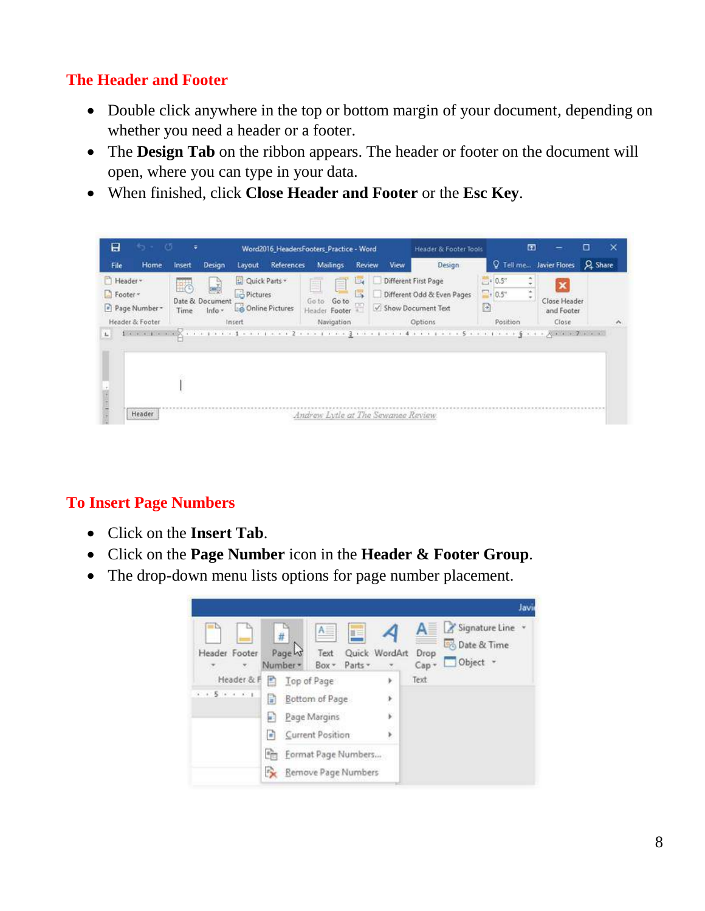## **The Header and Footer**

- Double click anywhere in the top or bottom margin of your document, depending on whether you need a header or a footer.
- The **Design Tab** on the ribbon appears. The header or footer on the document will open, where you can type in your data.
- When finished, click **Close Header and Footer** or the **Esc Key**.



## **To Insert Page Numbers**

- Click on the **Insert Tab**.
- Click on the **Page Number** icon in the **Header & Footer Group**.
- The drop-down menu lists options for page number placement.

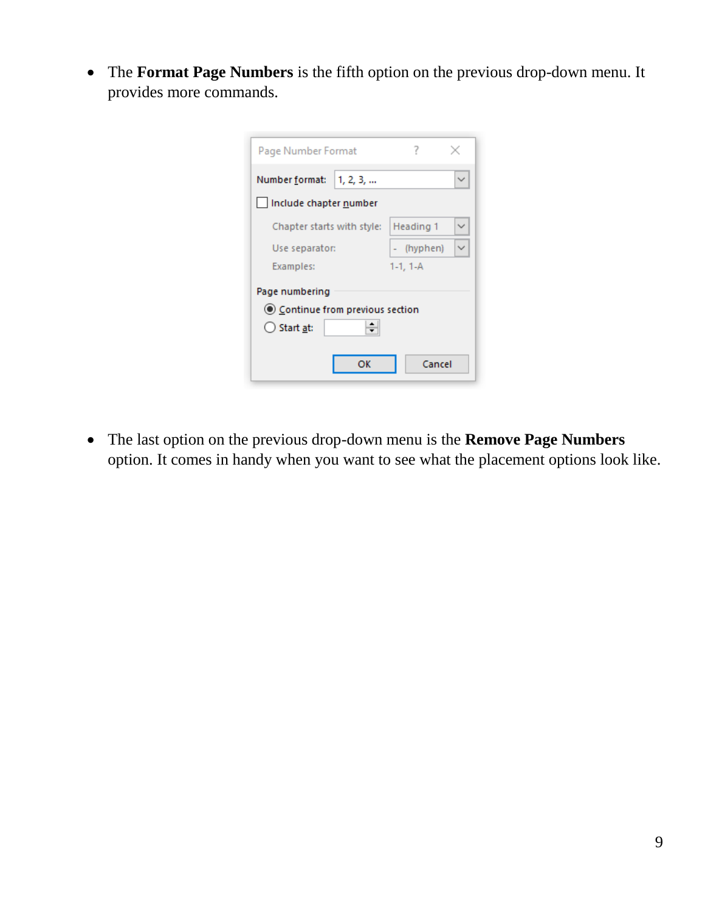• The **Format Page Numbers** is the fifth option on the previous drop-down menu. It provides more commands.

| Page Number Format               | ?          |  |  |  |  |  |  |  |
|----------------------------------|------------|--|--|--|--|--|--|--|
| Number format:<br>1, 2, 3,       |            |  |  |  |  |  |  |  |
| Include chapter number           |            |  |  |  |  |  |  |  |
| Chapter starts with style:       | Heading 1  |  |  |  |  |  |  |  |
| Use separator:                   | - (hyphen) |  |  |  |  |  |  |  |
| Examples:                        | $1-1, 1-A$ |  |  |  |  |  |  |  |
| Page numbering                   |            |  |  |  |  |  |  |  |
| ◉ Continue from previous section |            |  |  |  |  |  |  |  |
| $\bigcirc$ Start at:             |            |  |  |  |  |  |  |  |
| ок                               | Cancel     |  |  |  |  |  |  |  |

• The last option on the previous drop-down menu is the **Remove Page Numbers** option. It comes in handy when you want to see what the placement options look like.